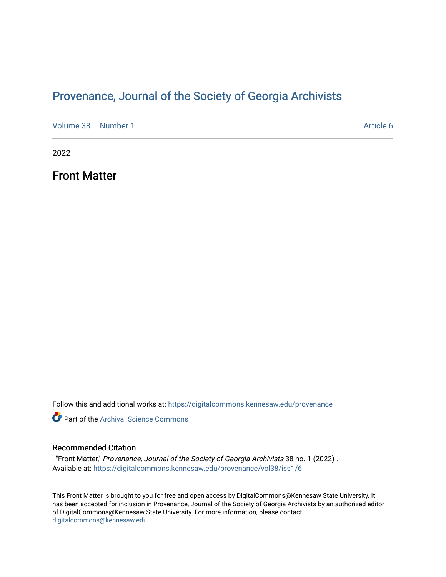### Provenance, Journal of the Society of Georgia Archivists

[Volume 38](https://digitalcommons.kennesaw.edu/provenance/vol38) [Number 1](https://digitalcommons.kennesaw.edu/provenance/vol38/iss1) Article 6

2022

Front Matter

Follow this and additional works at: [https://digitalcommons.kennesaw.edu/provenance](https://digitalcommons.kennesaw.edu/provenance?utm_source=digitalcommons.kennesaw.edu%2Fprovenance%2Fvol38%2Fiss1%2F6&utm_medium=PDF&utm_campaign=PDFCoverPages) 

**P** Part of the Archival Science Commons

#### Recommended Citation

, "Front Matter," Provenance, Journal of the Society of Georgia Archivists 38 no. 1 (2022) . Available at: [https://digitalcommons.kennesaw.edu/provenance/vol38/iss1/6](https://digitalcommons.kennesaw.edu/provenance/vol38/iss1/6?utm_source=digitalcommons.kennesaw.edu%2Fprovenance%2Fvol38%2Fiss1%2F6&utm_medium=PDF&utm_campaign=PDFCoverPages) 

This Front Matter is brought to you for free and open access by DigitalCommons@Kennesaw State University. It has been accepted for inclusion in Provenance, Journal of the Society of Georgia Archivists by an authorized editor of DigitalCommons@Kennesaw State University. For more information, please contact [digitalcommons@kennesaw.edu.](mailto:digitalcommons@kennesaw.edu)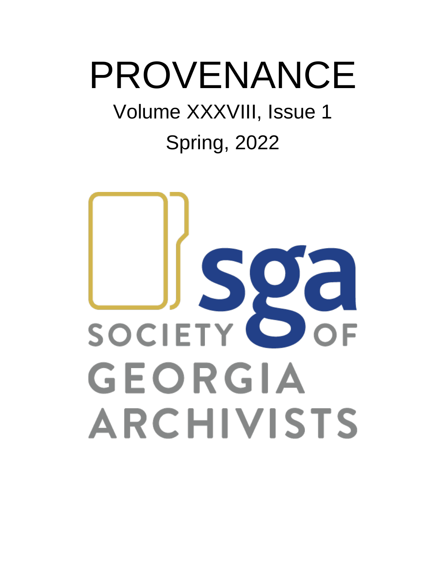# PROVENANCE

## Volume XXXVIII, Issue 1

## Spring, 2022

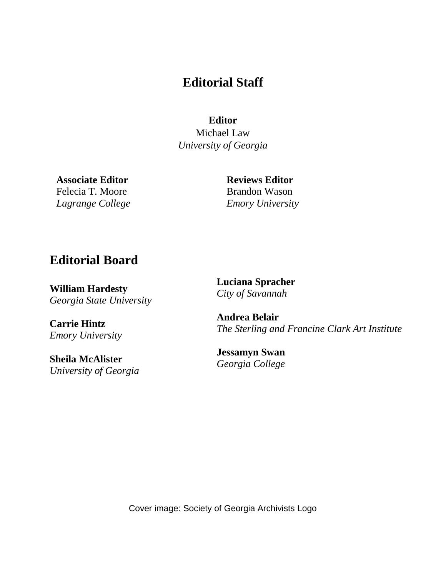### **Editorial Staff**

**Editor**

Michael Law *University of Georgia*

**Associate Editor** Felecia T. Moore *Lagrange College* **Reviews Editor** Brandon Wason *Emory University*

### **Editorial Board**

**William Hardesty** *Georgia State University*

**Carrie Hintz** *Emory University* 

**Sheila McAlister** *University of Georgia* **Luciana Spracher**  *City of Savannah*

**Andrea Belair** *The Sterling and Francine Clark Art Institute*

**Jessamyn Swan** *Georgia College*

Cover image: Society of Georgia Archivists Logo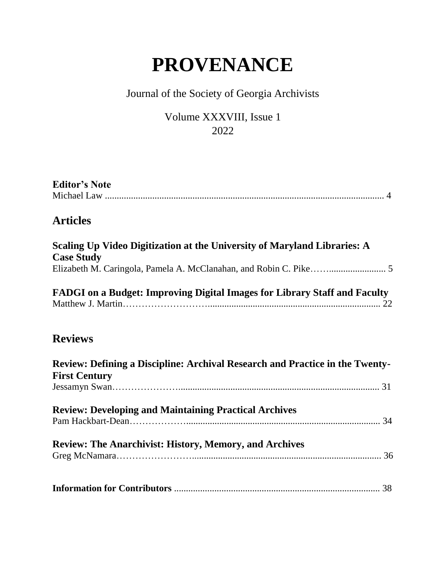### **PROVENANCE**

### Journal of the Society of Georgia Archivists

#### Volume XXXVIII, Issue 1 2022

| <b>Editor's Note</b> |  |
|----------------------|--|
|                      |  |
|                      |  |
|                      |  |

### **Articles**

| Scaling Up Video Digitization at the University of Maryland Libraries: A |  |
|--------------------------------------------------------------------------|--|
| <b>Case Study</b>                                                        |  |
|                                                                          |  |

| FADGI on a Budget: Improving Digital Images for Library Staff and Faculty |  |
|---------------------------------------------------------------------------|--|
|                                                                           |  |

### **Reviews**

| Review: Defining a Discipline: Archival Research and Practice in the Twenty- |  |
|------------------------------------------------------------------------------|--|
| <b>First Century</b>                                                         |  |
|                                                                              |  |
| <b>Review: Developing and Maintaining Practical Archives</b>                 |  |
|                                                                              |  |
| <b>Review: The Anarchivist: History, Memory, and Archives</b>                |  |
|                                                                              |  |
|                                                                              |  |
|                                                                              |  |